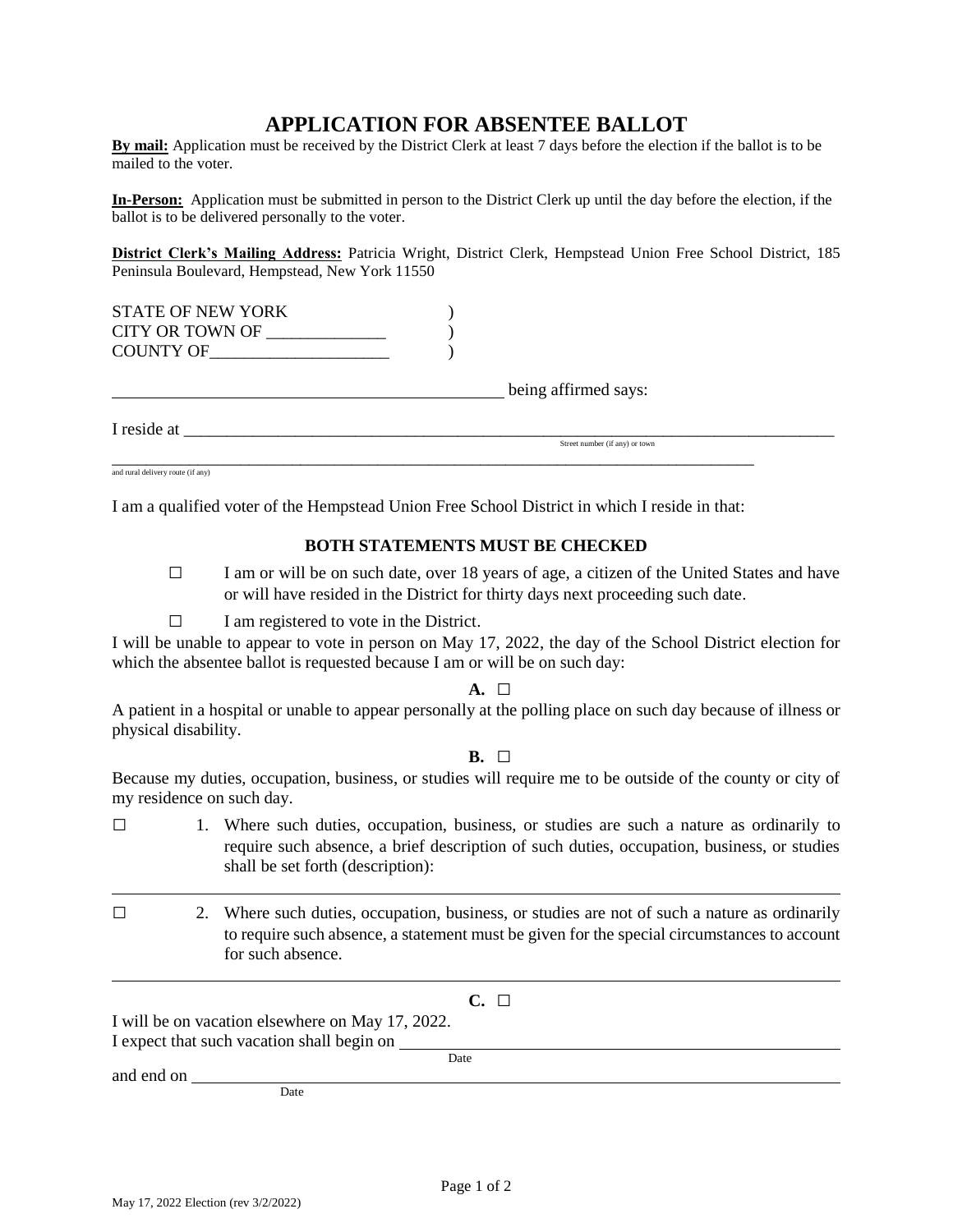# **APPLICATION FOR ABSENTEE BALLOT**

**By mail:** Application must be received by the District Clerk at least 7 days before the election if the ballot is to be mailed to the voter.

**In-Person:** Application must be submitted in person to the District Clerk up until the day before the election, if the ballot is to be delivered personally to the voter.

**District Clerk's Mailing Address:** Patricia Wright, District Clerk, Hempstead Union Free School District, 185 Peninsula Boulevard, Hempstead, New York 11550

| <b>STATE OF NEW YORK</b><br><b>CITY OR TOWN OF</b> |                      |  |
|----------------------------------------------------|----------------------|--|
| COUNTY OF                                          |                      |  |
|                                                    | being affirmed says: |  |
| I reside at                                        |                      |  |

Street number (if any) or town

\_\_\_\_\_\_\_\_\_\_\_\_\_\_\_\_\_\_\_\_\_\_\_\_\_\_\_\_\_\_\_\_\_\_\_\_\_\_\_\_\_\_\_\_\_\_\_\_\_\_\_\_\_\_\_\_\_\_\_\_\_\_\_\_\_\_\_\_\_\_\_\_\_\_\_ and rural delivery route (if any)

I am a qualified voter of the Hempstead Union Free School District in which I reside in that:

#### **BOTH STATEMENTS MUST BE CHECKED**

**□** I am or will be on such date, over 18 years of age, a citizen of the United States and have or will have resided in the District for thirty days next proceeding such date.

#### **□** I am registered to vote in the District.

I will be unable to appear to vote in person on May 17, 2022, the day of the School District election for which the absentee ballot is requested because I am or will be on such day:

#### **A. □**

A patient in a hospital or unable to appear personally at the polling place on such day because of illness or physical disability.

## **B. □**

Because my duties, occupation, business, or studies will require me to be outside of the county or city of my residence on such day.

- **□** 1. Where such duties, occupation, business, or studies are such a nature as ordinarily to require such absence, a brief description of such duties, occupation, business, or studies shall be set forth (description):
- **□** 2. Where such duties, occupation, business, or studies are not of such a nature as ordinarily to require such absence, a statement must be given for the special circumstances to account for such absence.
	- **C. □**

Date

I will be on vacation elsewhere on May 17, 2022. I expect that such vacation shall begin on

and end on

Date

May 17, 2022 Election (rev 3/2/2022)